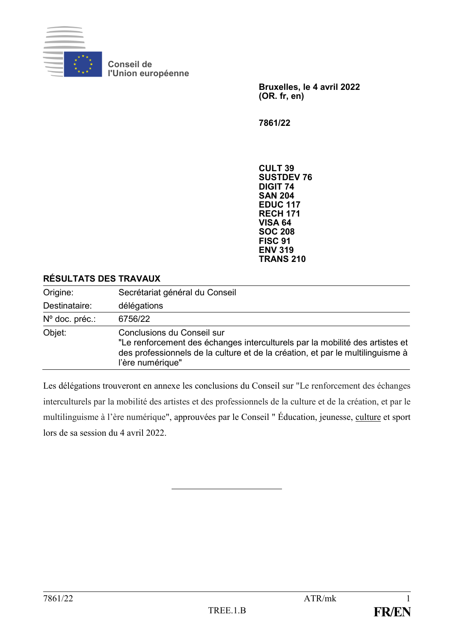

**Conseil de l'Union européenne**

> **Bruxelles, le 4 avril 2022 (OR. fr, en)**

**7861/22**

**CULT 39 SUSTDEV 76 DIGIT 74 SAN 204 EDUC 117 RECH 171 VISA 64 SOC 208 FISC 91 ENV 319 TRANS 210**

#### **RÉSULTATS DES TRAVAUX**

| Origine:       | Secrétariat général du Conseil                                                                                                                                                                                   |
|----------------|------------------------------------------------------------------------------------------------------------------------------------------------------------------------------------------------------------------|
| Destinataire:  | délégations                                                                                                                                                                                                      |
| Nº doc. préc.: | 6756/22                                                                                                                                                                                                          |
| Objet:         | Conclusions du Conseil sur<br>"Le renforcement des échanges interculturels par la mobilité des artistes et<br>des professionnels de la culture et de la création, et par le multilinguisme à<br>l'ère numérique" |

Les délégations trouveront en annexe les conclusions du Conseil sur "Le renforcement des échanges interculturels par la mobilité des artistes et des professionnels de la culture et de la création, et par le multilinguisme à l'ère numérique", approuvées par le Conseil " Éducation, jeunesse, culture et sport lors de sa session du 4 avril 2022.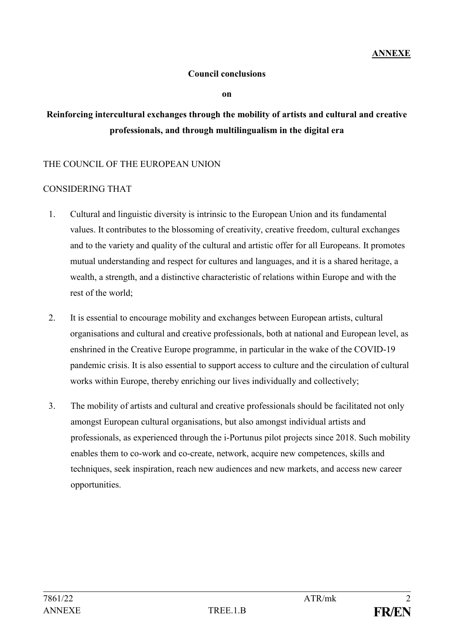## **Council conclusions**

**on**

## **Reinforcing intercultural exchanges through the mobility of artists and cultural and creative professionals, and through multilingualism in the digital era**

## THE COUNCIL OF THE EUROPEAN UNION

## CONSIDERING THAT

- 1. Cultural and linguistic diversity is intrinsic to the European Union and its fundamental values. It contributes to the blossoming of creativity, creative freedom, cultural exchanges and to the variety and quality of the cultural and artistic offer for all Europeans. It promotes mutual understanding and respect for cultures and languages, and it is a shared heritage, a wealth, a strength, and a distinctive characteristic of relations within Europe and with the rest of the world;
- 2. It is essential to encourage mobility and exchanges between European artists, cultural organisations and cultural and creative professionals, both at national and European level, as enshrined in the Creative Europe programme, in particular in the wake of the COVID-19 pandemic crisis. It is also essential to support access to culture and the circulation of cultural works within Europe, thereby enriching our lives individually and collectively;
- 3. The mobility of artists and cultural and creative professionals should be facilitated not only amongst European cultural organisations, but also amongst individual artists and professionals, as experienced through the i-Portunus pilot projects since 2018. Such mobility enables them to co-work and co-create, network, acquire new competences, skills and techniques, seek inspiration, reach new audiences and new markets, and access new career opportunities.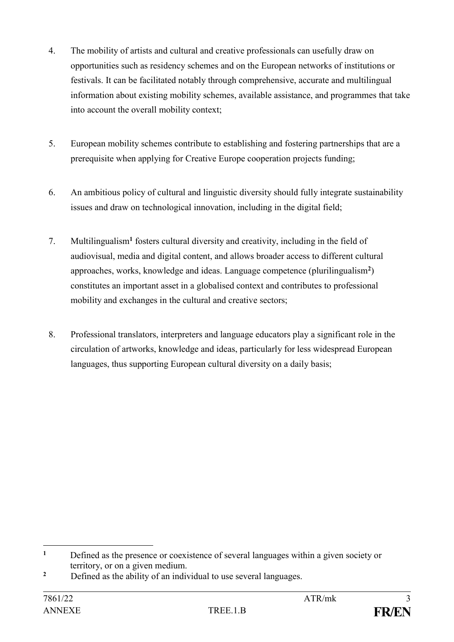- 4. The mobility of artists and cultural and creative professionals can usefully draw on opportunities such as residency schemes and on the European networks of institutions or festivals. It can be facilitated notably through comprehensive, accurate and multilingual information about existing mobility schemes, available assistance, and programmes that take into account the overall mobility context;
- 5. European mobility schemes contribute to establishing and fostering partnerships that are a prerequisite when applying for Creative Europe cooperation projects funding;
- 6. An ambitious policy of cultural and linguistic diversity should fully integrate sustainability issues and draw on technological innovation, including in the digital field;
- 7. Multilingualism**<sup>1</sup>** fosters cultural diversity and creativity, including in the field of audiovisual, media and digital content, and allows broader access to different cultural approaches, works, knowledge and ideas. Language competence (plurilingualism**<sup>2</sup>** ) constitutes an important asset in a globalised context and contributes to professional mobility and exchanges in the cultural and creative sectors;
- 8. Professional translators, interpreters and language educators play a significant role in the circulation of artworks, knowledge and ideas, particularly for less widespread European languages, thus supporting European cultural diversity on a daily basis;

<sup>1</sup> **<sup>1</sup>** Defined as the presence or coexistence of several languages within a given society or territory, or on a given medium.

<sup>&</sup>lt;sup>2</sup> Defined as the ability of an individual to use several languages.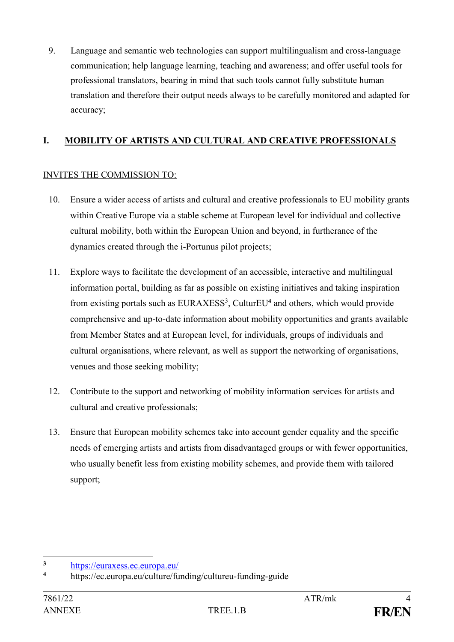9. Language and semantic web technologies can support multilingualism and cross-language communication; help language learning, teaching and awareness; and offer useful tools for professional translators, bearing in mind that such tools cannot fully substitute human translation and therefore their output needs always to be carefully monitored and adapted for accuracy;

## **I. MOBILITY OF ARTISTS AND CULTURAL AND CREATIVE PROFESSIONALS**

## INVITES THE COMMISSION TO:

- 10. Ensure a wider access of artists and cultural and creative professionals to EU mobility grants within Creative Europe via a stable scheme at European level for individual and collective cultural mobility, both within the European Union and beyond, in furtherance of the dynamics created through the i-Portunus pilot projects;
- 11. Explore ways to facilitate the development of an accessible, interactive and multilingual information portal, building as far as possible on existing initiatives and taking inspiration from existing portals such as EURAXESS<sup>3</sup>, CulturEU<sup>4</sup> and others, which would provide comprehensive and up-to-date information about mobility opportunities and grants available from Member States and at European level, for individuals, groups of individuals and cultural organisations, where relevant, as well as support the networking of organisations, venues and those seeking mobility;
- 12. Contribute to the support and networking of mobility information services for artists and cultural and creative professionals;
- 13. Ensure that European mobility schemes take into account gender equality and the specific needs of emerging artists and artists from disadvantaged groups or with fewer opportunities, who usually benefit less from existing mobility schemes, and provide them with tailored support;

 $\overline{\mathbf{3}}$ <sup>3</sup> <https://euraxess.ec.europa.eu/><br><sup>4</sup> https://ea.europa.eu/eulture/fu

**<sup>4</sup>** https://ec.europa.eu/culture/funding/cultureu-funding-guide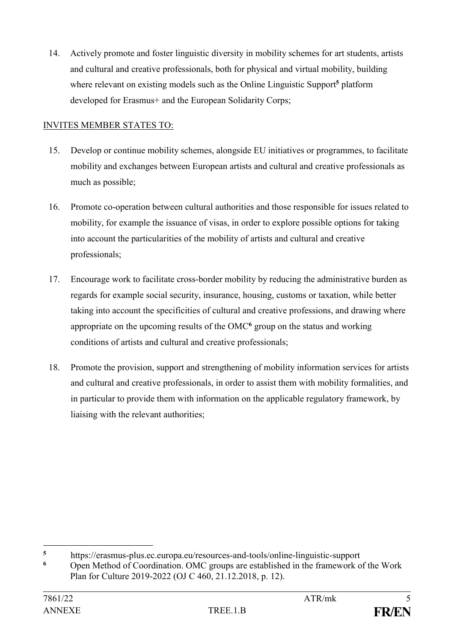14. Actively promote and foster linguistic diversity in mobility schemes for art students, artists and cultural and creative professionals, both for physical and virtual mobility, building where relevant on existing models such as the Online Linguistic Support**<sup>5</sup>** platform developed for Erasmus+ and the European Solidarity Corps;

## INVITES MEMBER STATES TO:

- 15. Develop or continue mobility schemes, alongside EU initiatives or programmes, to facilitate mobility and exchanges between European artists and cultural and creative professionals as much as possible;
- 16. Promote co-operation between cultural authorities and those responsible for issues related to mobility, for example the issuance of visas, in order to explore possible options for taking into account the particularities of the mobility of artists and cultural and creative professionals;
- 17. Encourage work to facilitate cross-border mobility by reducing the administrative burden as regards for example social security, insurance, housing, customs or taxation, while better taking into account the specificities of cultural and creative professions, and drawing where appropriate on the upcoming results of the OMC**<sup>6</sup>** group on the status and working conditions of artists and cultural and creative professionals;
- 18. Promote the provision, support and strengthening of mobility information services for artists and cultural and creative professionals, in order to assist them with mobility formalities, and in particular to provide them with information on the applicable regulatory framework, by liaising with the relevant authorities;

1

**<sup>5</sup>** https://erasmus-plus.ec.europa.eu/resources-and-tools/online-linguistic-support

**<sup>6</sup>** Open Method of Coordination. OMC groups are established in the framework of the Work Plan for Culture 2019-2022 (OJ C 460, 21.12.2018, p. 12).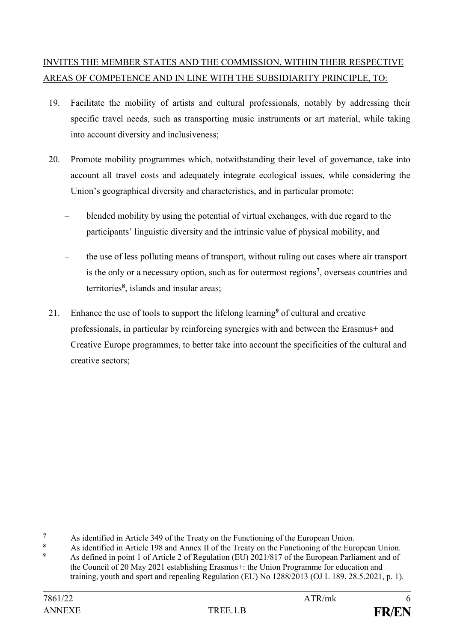# INVITES THE MEMBER STATES AND THE COMMISSION, WITHIN THEIR RESPECTIVE AREAS OF COMPETENCE AND IN LINE WITH THE SUBSIDIARITY PRINCIPLE, TO:

- 19. Facilitate the mobility of artists and cultural professionals, notably by addressing their specific travel needs, such as transporting music instruments or art material, while taking into account diversity and inclusiveness;
- 20. Promote mobility programmes which, notwithstanding their level of governance, take into account all travel costs and adequately integrate ecological issues, while considering the Union's geographical diversity and characteristics, and in particular promote:
	- blended mobility by using the potential of virtual exchanges, with due regard to the participants' linguistic diversity and the intrinsic value of physical mobility, and
	- the use of less polluting means of transport, without ruling out cases where air transport is the only or a necessary option, such as for outermost regions**<sup>7</sup>** , overseas countries and territories**<sup>8</sup>** , islands and insular areas;
- 21. Enhance the use of tools to support the lifelong learning**<sup>9</sup>** of cultural and creative professionals, in particular by reinforcing synergies with and between the Erasmus+ and Creative Europe programmes, to better take into account the specificities of the cultural and creative sectors;

<u>.</u>

**<sup>7</sup>** As identified in Article 349 of the Treaty on the Functioning of the European Union.

**<sup>8</sup>** As identified in Article 198 and Annex II of the Treaty on the Functioning of the European Union.

**<sup>9</sup>** As defined in point 1 of Article 2 of Regulation (EU) 2021/817 of the European Parliament and of the Council of 20 May 2021 establishing Erasmus+: the Union Programme for education and training, youth and sport and repealing Regulation (EU) No 1288/2013 (OJ L 189, 28.5.2021, p. 1).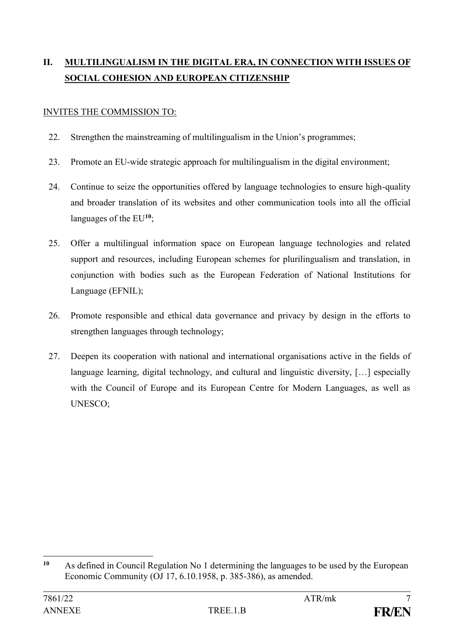# **II. MULTILINGUALISM IN THE DIGITAL ERA, IN CONNECTION WITH ISSUES OF SOCIAL COHESION AND EUROPEAN CITIZENSHIP**

## INVITES THE COMMISSION TO:

- 22. Strengthen the mainstreaming of multilingualism in the Union's programmes;
- 23. Promote an EU-wide strategic approach for multilingualism in the digital environment;
- 24. Continue to seize the opportunities offered by language technologies to ensure high-quality and broader translation of its websites and other communication tools into all the official languages of the EU**<sup>10</sup>**;
- 25. Offer a multilingual information space on European language technologies and related support and resources, including European schemes for plurilingualism and translation, in conjunction with bodies such as the European Federation of National Institutions for Language (EFNIL);
- 26. Promote responsible and ethical data governance and privacy by design in the efforts to strengthen languages through technology;
- 27. Deepen its cooperation with national and international organisations active in the fields of language learning, digital technology, and cultural and linguistic diversity, […] especially with the Council of Europe and its European Centre for Modern Languages, as well as UNESCO;

 $10$ As defined in Council Regulation No 1 determining the languages to be used by the European Economic Community (OJ 17, 6.10.1958, p. 385-386), as amended.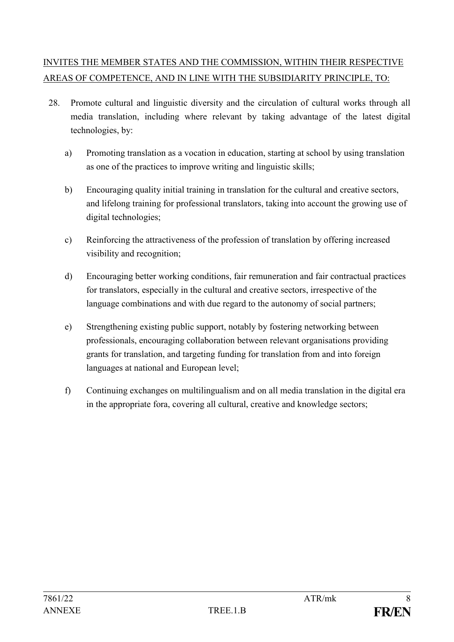# INVITES THE MEMBER STATES AND THE COMMISSION, WITHIN THEIR RESPECTIVE AREAS OF COMPETENCE, AND IN LINE WITH THE SUBSIDIARITY PRINCIPLE, TO:

- 28. Promote cultural and linguistic diversity and the circulation of cultural works through all media translation, including where relevant by taking advantage of the latest digital technologies, by:
	- a) Promoting translation as a vocation in education, starting at school by using translation as one of the practices to improve writing and linguistic skills;
	- b) Encouraging quality initial training in translation for the cultural and creative sectors, and lifelong training for professional translators, taking into account the growing use of digital technologies;
	- c) Reinforcing the attractiveness of the profession of translation by offering increased visibility and recognition;
	- d) Encouraging better working conditions, fair remuneration and fair contractual practices for translators, especially in the cultural and creative sectors, irrespective of the language combinations and with due regard to the autonomy of social partners;
	- e) Strengthening existing public support, notably by fostering networking between professionals, encouraging collaboration between relevant organisations providing grants for translation, and targeting funding for translation from and into foreign languages at national and European level;
	- f) Continuing exchanges on multilingualism and on all media translation in the digital era in the appropriate fora, covering all cultural, creative and knowledge sectors;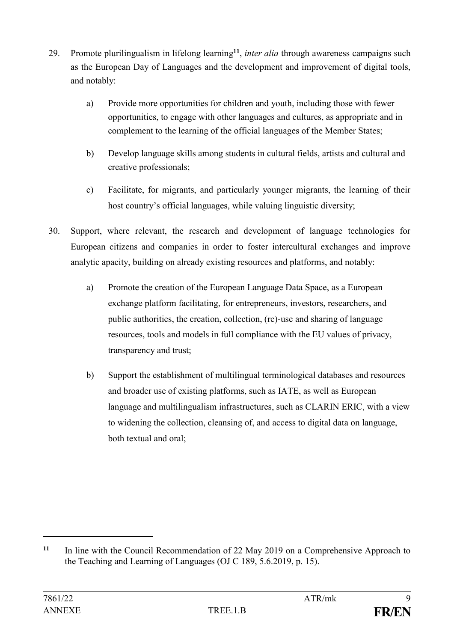- 29. Promote plurilingualism in lifelong learning**<sup>11</sup>** , *inter alia* through awareness campaigns such as the European Day of Languages and the development and improvement of digital tools, and notably:
	- a) Provide more opportunities for children and youth, including those with fewer opportunities, to engage with other languages and cultures, as appropriate and in complement to the learning of the official languages of the Member States;
	- b) Develop language skills among students in cultural fields, artists and cultural and creative professionals;
	- c) Facilitate, for migrants, and particularly younger migrants, the learning of their host country's official languages, while valuing linguistic diversity;
- 30. Support, where relevant, the research and development of language technologies for European citizens and companies in order to foster intercultural exchanges and improve analytic apacity, building on already existing resources and platforms, and notably:
	- a) Promote the creation of the European Language Data Space, as a European exchange platform facilitating, for entrepreneurs, investors, researchers, and public authorities, the creation, collection, (re)-use and sharing of language resources, tools and models in full compliance with the EU values of privacy, transparency and trust;
	- b) Support the establishment of multilingual terminological databases and resources and broader use of existing platforms, such as IATE, as well as European language and multilingualism infrastructures, such as CLARIN ERIC, with a view to widening the collection, cleansing of, and access to digital data on language, both textual and oral;

1

**<sup>11</sup>** In line with the Council Recommendation of 22 May 2019 on a Comprehensive Approach to the Teaching and Learning of Languages (OJ C 189, 5.6.2019, p. 15).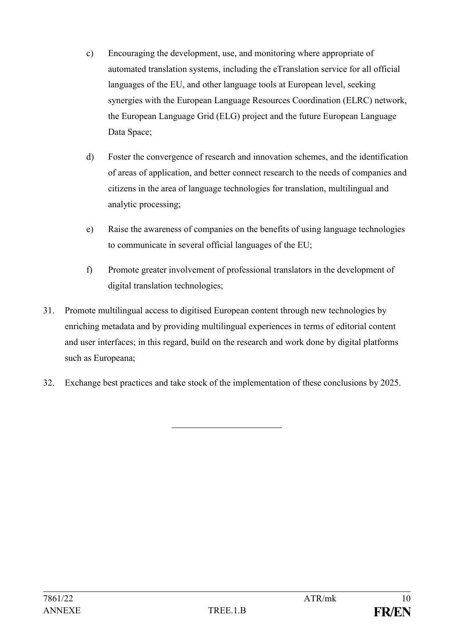- c) Encouraging the development, use, and monitoring where appropriate of automated translation systems, including the eTranslation service for all official languages of the EU, and other language tools at European level, seeking synergies with the European Language Resources Coordination (ELRC) network, the European Language Grid (ELG) project and the future European Language Data Space:
- d) Foster the convergence of research and innovation schemes, and the identification of areas of application, and better connect research to the needs of companies and citizens in the area of language technologies for translation, multilingual and analytic processing;
- e) Raise the awareness of companies on the benefits of using language technologies to communicate in several official languages of the EU;
- f) Promote greater involvement of professional translators in the development of digital translation technologies;
- 31. Promote multilingual access to digitised European content through new technologies by enriching metadata and by providing multilingual experiences in terms of editorial content and user interfaces; in this regard, build on the research and work done by digital platforms such as Europeana;
- 32. Exchange best practices and take stock of the implementation of these conclusions by 2025.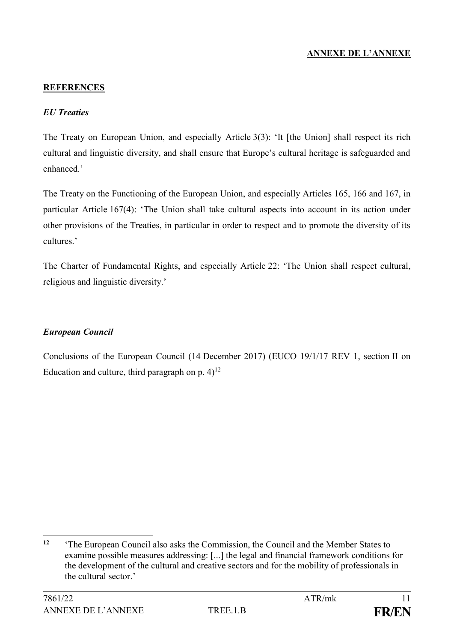## **ANNEXE DE L'ANNEXE**

#### **REFERENCES**

#### *EU Treaties*

The Treaty on European Union, and especially Article 3(3): 'It [the Union] shall respect its rich cultural and linguistic diversity, and shall ensure that Europe's cultural heritage is safeguarded and enhanced.'

The Treaty on the Functioning of the European Union, and especially Articles 165, 166 and 167, in particular Article 167(4): 'The Union shall take cultural aspects into account in its action under other provisions of the Treaties, in particular in order to respect and to promote the diversity of its cultures.'

The Charter of Fundamental Rights, and especially Article 22: 'The Union shall respect cultural, religious and linguistic diversity.'

#### *European Council*

Conclusions of the European Council (14 December 2017) (EUCO 19/1/17 REV 1, section II on Education and culture, third paragraph on p.  $4$ <sup>12</sup>

1

**<sup>12</sup>** 'The European Council also asks the Commission, the Council and the Member States to examine possible measures addressing: [...] the legal and financial framework conditions for the development of the cultural and creative sectors and for the mobility of professionals in the cultural sector.'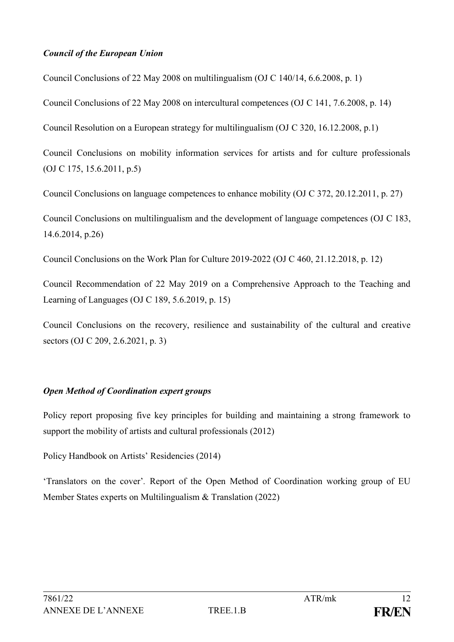#### *Council of the European Union*

Council Conclusions of 22 May 2008 on multilingualism (OJ C 140/14, 6.6.2008, p. 1)

Council Conclusions of 22 May 2008 on intercultural competences (OJ C 141, 7.6.2008, p. 14)

Council Resolution on a European strategy for multilingualism (OJ C 320, 16.12.2008, p.1)

Council Conclusions on mobility information services for artists and for culture professionals (OJ C 175, 15.6.2011, p.5)

Council Conclusions on language competences to enhance mobility (OJ C 372, 20.12.2011, p. 27)

Council Conclusions on multilingualism and the development of language competences (OJ C 183, 14.6.2014, p.26)

Council Conclusions on the Work Plan for Culture 2019-2022 (OJ C 460, 21.12.2018, p. 12)

Council Recommendation of 22 May 2019 on a Comprehensive Approach to the Teaching and Learning of Languages (OJ C 189, 5.6.2019, p. 15)

Council Conclusions on the recovery, resilience and sustainability of the cultural and creative sectors (OJ C 209, 2.6.2021, p. 3)

#### *Open Method of Coordination expert groups*

Policy report proposing five key principles for building and maintaining a strong framework to support the mobility of artists and cultural professionals (2012)

Policy Handbook on Artists' Residencies (2014)

'Translators on the cover'*.* Report of the Open Method of Coordination working group of EU Member States experts on Multilingualism & Translation (2022)